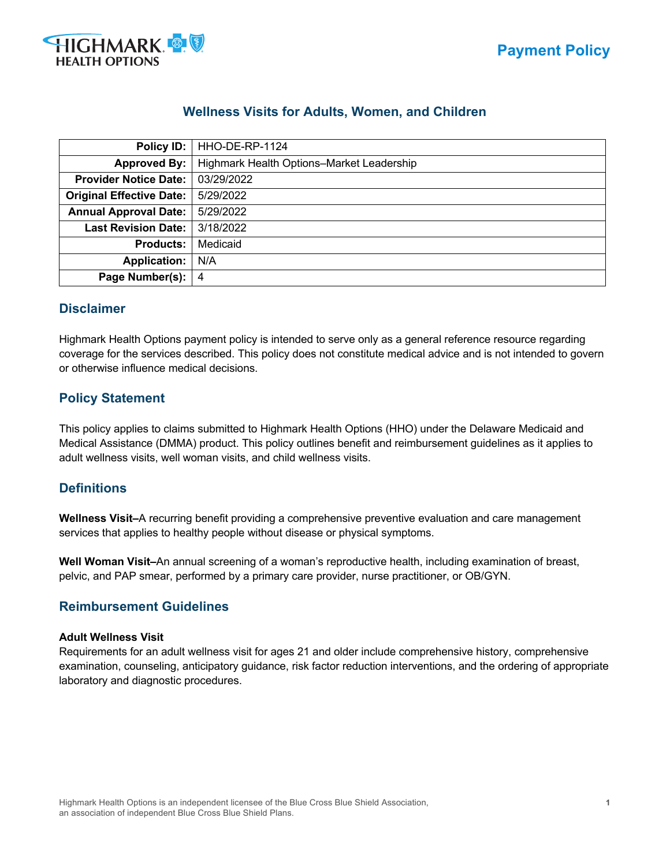

# **Wellness Visits for Adults, Women, and Children**

| Policy ID:                      | HHO-DE-RP-1124                            |  |  |
|---------------------------------|-------------------------------------------|--|--|
| <b>Approved By:</b>             | Highmark Health Options-Market Leadership |  |  |
| <b>Provider Notice Date:</b>    | 03/29/2022                                |  |  |
| <b>Original Effective Date:</b> | 5/29/2022                                 |  |  |
| <b>Annual Approval Date:</b>    | 5/29/2022                                 |  |  |
| <b>Last Revision Date:</b>      | 3/18/2022                                 |  |  |
| <b>Products:</b>                | Medicaid                                  |  |  |
| <b>Application:</b>             | N/A                                       |  |  |
| Page Number(s):                 | 4                                         |  |  |

## **Disclaimer**

Highmark Health Options payment policy is intended to serve only as a general reference resource regarding coverage for the services described. This policy does not constitute medical advice and is not intended to govern or otherwise influence medical decisions.

## **Policy Statement**

This policy applies to claims submitted to Highmark Health Options (HHO) under the Delaware Medicaid and Medical Assistance (DMMA) product. This policy outlines benefit and reimbursement guidelines as it applies to adult wellness visits, well woman visits, and child wellness visits.  

## **Definitions**

**Wellness Visit–**A recurring benefit providing a comprehensive preventive evaluation and care management services that applies to healthy people without disease or physical symptoms.

**Well Woman Visit–**An annual screening of a woman's reproductive health, including examination of breast, pelvic, and PAP smear, performed by a primary care provider, nurse practitioner, or OB/GYN.

## **Reimbursement Guidelines**

#### **Adult Wellness Visit**

Requirements for an adult wellness visit for ages 21 and older include comprehensive history, comprehensive examination, counseling, anticipatory guidance, risk factor reduction interventions, and the ordering of appropriate laboratory and diagnostic procedures.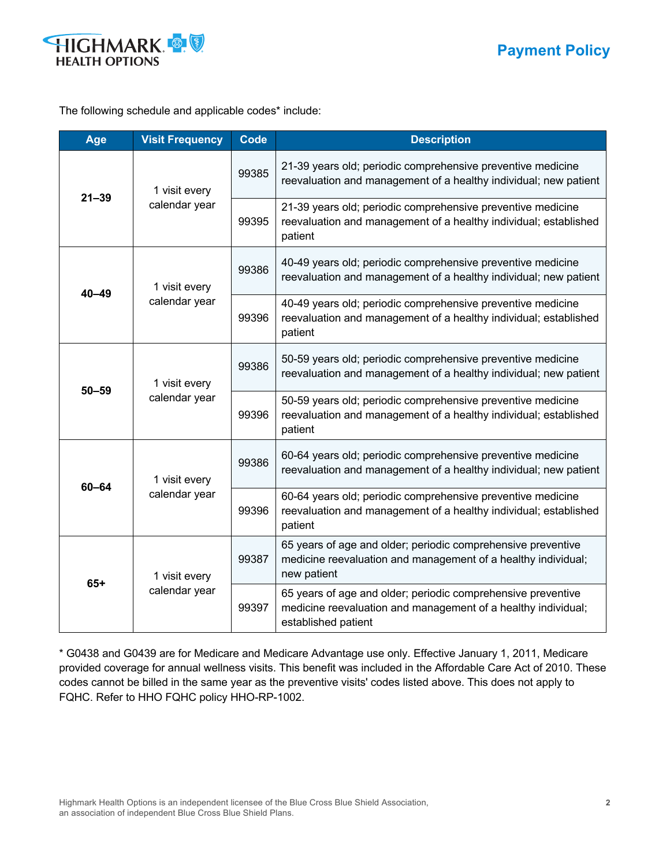

The following schedule and applicable codes\* include:

| Age       | <b>Visit Frequency</b>         | <b>Code</b> | <b>Description</b>                                                                                                                                   |
|-----------|--------------------------------|-------------|------------------------------------------------------------------------------------------------------------------------------------------------------|
| $21 - 39$ | 1 visit every<br>calendar year | 99385       | 21-39 years old; periodic comprehensive preventive medicine<br>reevaluation and management of a healthy individual; new patient                      |
|           |                                | 99395       | 21-39 years old; periodic comprehensive preventive medicine<br>reevaluation and management of a healthy individual; established<br>patient           |
| $40 - 49$ | 1 visit every<br>calendar year | 99386       | 40-49 years old; periodic comprehensive preventive medicine<br>reevaluation and management of a healthy individual; new patient                      |
|           |                                | 99396       | 40-49 years old; periodic comprehensive preventive medicine<br>reevaluation and management of a healthy individual; established<br>patient           |
| $50 - 59$ | 1 visit every<br>calendar year | 99386       | 50-59 years old; periodic comprehensive preventive medicine<br>reevaluation and management of a healthy individual; new patient                      |
|           |                                | 99396       | 50-59 years old; periodic comprehensive preventive medicine<br>reevaluation and management of a healthy individual; established<br>patient           |
| $60 - 64$ | 1 visit every<br>calendar year | 99386       | 60-64 years old; periodic comprehensive preventive medicine<br>reevaluation and management of a healthy individual; new patient                      |
|           |                                | 99396       | 60-64 years old; periodic comprehensive preventive medicine<br>reevaluation and management of a healthy individual; established<br>patient           |
| $65+$     | 1 visit every<br>calendar year | 99387       | 65 years of age and older; periodic comprehensive preventive<br>medicine reevaluation and management of a healthy individual;<br>new patient         |
|           |                                | 99397       | 65 years of age and older; periodic comprehensive preventive<br>medicine reevaluation and management of a healthy individual;<br>established patient |

\* G0438 and G0439 are for Medicare and Medicare Advantage use only. Effective January 1, 2011, Medicare provided coverage for annual wellness visits. This benefit was included in the Affordable Care Act of 2010. These codes cannot be billed in the same year as the preventive visits' codes listed above. This does not apply to FQHC. Refer to HHO FQHC policy HHO-RP-1002.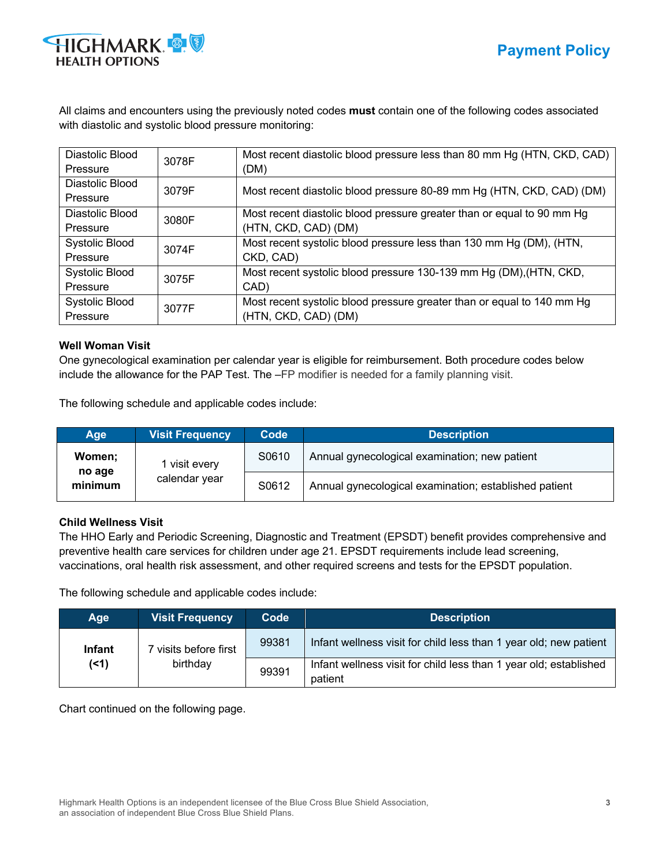

All claims and encounters using the previously noted codes **must** contain one of the following codes associated with diastolic and systolic blood pressure monitoring:

| Diastolic Blood<br>Pressure | 3078F | Most recent diastolic blood pressure less than 80 mm Hg (HTN, CKD, CAD)<br>(DM) |
|-----------------------------|-------|---------------------------------------------------------------------------------|
| Diastolic Blood<br>Pressure | 3079F | Most recent diastolic blood pressure 80-89 mm Hg (HTN, CKD, CAD) (DM)           |
| Diastolic Blood             | 3080F | Most recent diastolic blood pressure greater than or equal to 90 mm Hg          |
| Pressure                    |       | (HTN, CKD, CAD) (DM)                                                            |
| <b>Systolic Blood</b>       | 3074F | Most recent systolic blood pressure less than 130 mm Hg (DM), (HTN,             |
| Pressure                    |       | CKD, CAD)                                                                       |
| Systolic Blood              | 3075F | Most recent systolic blood pressure 130-139 mm Hg (DM), (HTN, CKD,              |
| Pressure                    |       | CAD)                                                                            |
| Systolic Blood              | 3077F | Most recent systolic blood pressure greater than or equal to 140 mm Hg          |
| Pressure                    |       | (HTN, CKD, CAD) (DM)                                                            |

#### **Well Woman Visit**

One gynecological examination per calendar year is eligible for reimbursement. Both procedure codes below include the allowance for the PAP Test. The –FP modifier is needed for a family planning visit.

The following schedule and applicable codes include:

| Age                         | <b>Visit Frequency</b>         | Code  | <b>Description</b>                                    |
|-----------------------------|--------------------------------|-------|-------------------------------------------------------|
| Women:<br>no age<br>minimum | 1 visit every<br>calendar year | S0610 | Annual gynecological examination; new patient         |
|                             |                                | S0612 | Annual gynecological examination; established patient |

#### **Child Wellness Visit**

The HHO Early and Periodic Screening, Diagnostic and Treatment (EPSDT) benefit provides comprehensive and preventive health care services for children under age 21. EPSDT requirements include lead screening, vaccinations, oral health risk assessment, and other required screens and tests for the EPSDT population.

The following schedule and applicable codes include:

| <b>Age</b>    | <b>Visit Frequency</b> | Code  | <b>Description</b>                                                           |
|---------------|------------------------|-------|------------------------------------------------------------------------------|
| <b>Infant</b> | visits before first    | 99381 | Infant wellness visit for child less than 1 year old; new patient            |
| $($ < 1)      | birthday               | 99391 | Infant wellness visit for child less than 1 year old; established<br>patient |

Chart continued on the following page.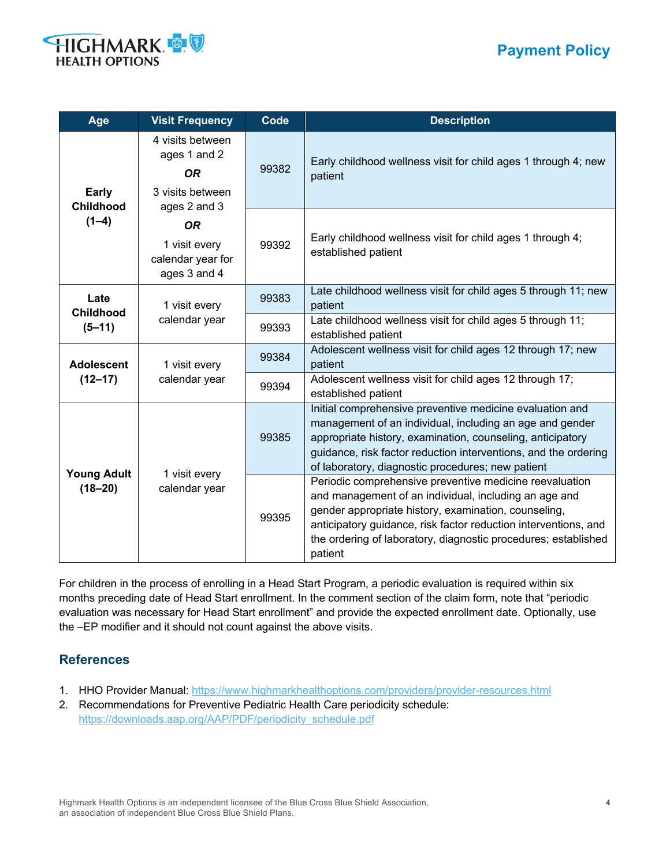# **Payment Policy**



| Age                                         | <b>Visit Frequency</b>                                                            | <b>Code</b> | <b>Description</b>                                                                                                                                                                                                                                                                                                       |
|---------------------------------------------|-----------------------------------------------------------------------------------|-------------|--------------------------------------------------------------------------------------------------------------------------------------------------------------------------------------------------------------------------------------------------------------------------------------------------------------------------|
| <b>Early</b><br><b>Childhood</b><br>$(1-4)$ | 4 visits between<br>ages 1 and 2<br><b>OR</b><br>3 visits between<br>ages 2 and 3 | 99382       | Early childhood wellness visit for child ages 1 through 4; new<br>patient                                                                                                                                                                                                                                                |
|                                             | <b>OR</b><br>1 visit every<br>calendar year for<br>ages 3 and 4                   | 99392       | Early childhood wellness visit for child ages 1 through 4;<br>established patient                                                                                                                                                                                                                                        |
| Late<br><b>Childhood</b><br>$(5 - 11)$      | 1 visit every<br>calendar year                                                    | 99383       | Late childhood wellness visit for child ages 5 through 11; new<br>patient                                                                                                                                                                                                                                                |
|                                             |                                                                                   | 99393       | Late childhood wellness visit for child ages 5 through 11;<br>established patient                                                                                                                                                                                                                                        |
| <b>Adolescent</b><br>$(12 - 17)$            | 1 visit every<br>calendar year                                                    | 99384       | Adolescent wellness visit for child ages 12 through 17; new<br>patient                                                                                                                                                                                                                                                   |
|                                             |                                                                                   | 99394       | Adolescent wellness visit for child ages 12 through 17;<br>established patient                                                                                                                                                                                                                                           |
| <b>Young Adult</b><br>$(18 - 20)$           | 1 visit every<br>calendar year                                                    | 99385       | Initial comprehensive preventive medicine evaluation and<br>management of an individual, including an age and gender<br>appropriate history, examination, counseling, anticipatory<br>guidance, risk factor reduction interventions, and the ordering<br>of laboratory, diagnostic procedures; new patient               |
|                                             |                                                                                   | 99395       | Periodic comprehensive preventive medicine reevaluation<br>and management of an individual, including an age and<br>gender appropriate history, examination, counseling,<br>anticipatory guidance, risk factor reduction interventions, and<br>the ordering of laboratory, diagnostic procedures; established<br>patient |

For children in the process of enrolling in a Head Start Program, a periodic evaluation is required within six months preceding date of Head Start enrollment. In the comment section of the claim form, note that "periodic evaluation was necessary for Head Start enrollment" and provide the expected enrollment date. Optionally, use the –EP modifier and it should not count against the above visits.

## **References**

- 1. HHO Provider Manual: https://www.highmarkhealthoptions.com/providers/provider-resources.html
- 2. Recommendations for Preventive Pediatric Health Care periodicity schedule: https://downloads.aap.org/AAP/PDF/periodicity\_schedule.pdf